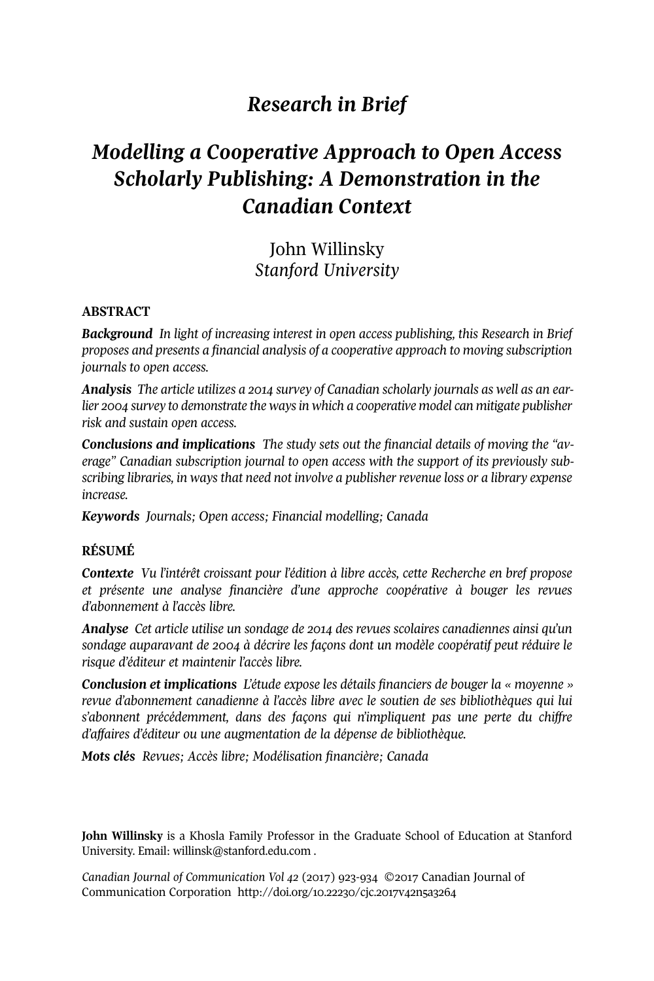## *Research in Brief*

# *Modelling a Cooperative Approach to Open Access Scholarly Publishing: A Demonstration in the Canadian Context*

John Willinsky *Stanford University*

#### **ABSTRACT**

*Background In light of increasing interest in open access publishing, this Research in Brief proposes and presents a financial analysis of a cooperative approach to moving subscription journals to open access.*

*Analysis The article utilizes a 2014 survey of Canadian scholarly journals as well as an earlier 2004 survey to demonstrate the waysin which a cooperative model can mitigate publisher risk and sustain open access.*

*Conclusions and implications The study sets out the financial details of moving the "average" Canadian subscription journal to open access with the support of its previously subscribing libraries, in ways that need not involve a publisher revenue loss or a library expense increase.*

*Keywords Journals; Open access; Financial modelling; Canada*

#### **RÉSUMÉ**

*Contexte Vu l'intérêt croissant pour l'édition à libre accès, cette Recherche en bref propose et présente une analyse financière d'une approche coopérative à bouger les revues d'abonnement à l'accès libre.*

*Analyse Cet article utilise un sondage de 2014 des revues scolaires canadiennes ainsi qu'un sondage auparavant de 2004 à décrire les façons dont un modèle coopératif peut réduire le risque d'éditeur et maintenir l'accès libre.*

*Conclusion et implications L'étude expose les détails financiers de bouger la « moyenne » revue d'abonnement canadienne à l'accès libre avec le soutien de ses bibliothèques qui lui s'abonnent précédemment, dans des façons qui n'impliquent pas une perte du chiffre d'affaires d'éditeur ou une augmentation de la dépense de bibliothèque.*

*Mots clés Revues; Accès libre; Modélisation financière; Canada*

**John Willinsky** is a Khosla Family Professor in the Graduate School of Education at Stanford University. Email: <willinsk@stanford.edu.com> .

*Canadian Journal of [Communication](http://www.cjc-online.ca) Vol 42* (2017) 923-934 ©2017 Canadian Journal of Communication Corporation <http://doi.org/10.22230/cjc.2017v42n5a3264>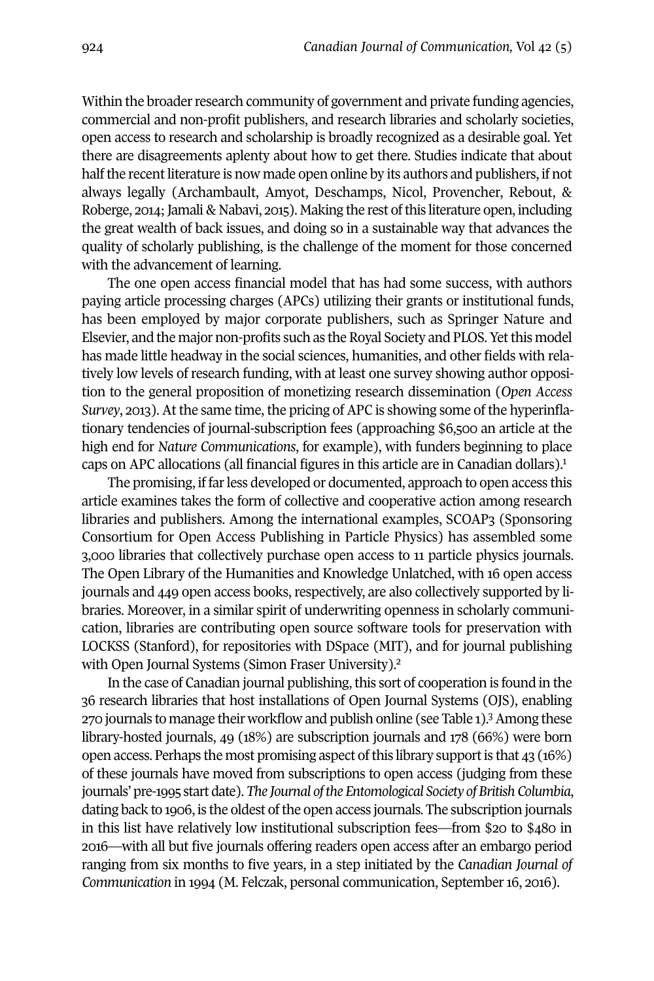Within the broader research community of government and private funding agencies, commercial and non-profit publishers, and research libraries and scholarly societies, open access to research and scholarship is broadly recognized as a desirable goal. Yet there are disagreements aplenty about how to get there. Studies indicate that about half the recent literature is now made open online by its authors and publishers, if not always legally (Archambault, Amyot, Deschamps, Nicol, Provencher, Rebout, & Roberge, 2014; Jamali & Nabavi, 2015). Making the rest of this literature open, including the great wealth of back issues, and doing so in a sustainable way that advances the quality of scholarly publishing, is the challenge of the moment for those concerned with the advancement of learning.

The one open access financial model that has had some success, with authors paying article processing charges (APCs) utilizing their grants or institutional funds, has been employed by major corporate publishers, such as Springer Nature and Elsevier, and the major non-profits such as the Royal Society and PLOS. Yetthis model has made little headway in the social sciences, humanities, and other fields with relatively low levels of research funding, with at least one survey showing author opposition to the general proposition of monetizing research dissemination (*Open Access Survey*, 2013). At the same time, the pricing of APC is showing some of the hyperinflationary tendencies of journal-subscription fees (approaching \$6,500 an article at the high end for *Nature Communications*, for example), with funders beginning to place caps on APC allocations (all financial figures in this article are in Canadian dollars). [1](#page-10-0)

The promising, if farless developed or documented, approach to open access this article examines takes the form of collective and cooperative action among research libraries and publishers. Among the international examples, SCOAP3 (Sponsoring Consortium for Open Access Publishing in Particle Physics) has assembled some 3,000 libraries that collectively purchase open access to 11 particle physics journals. The Open Library of the Humanities and Knowledge Unlatched, with 16 open access journals and 449 open access books, respectively, are also collectively supported by libraries. Moreover, in a similar spirit of underwriting openness in scholarly communication, libraries are contributing open source software tools for preservation with LOCKSS (Stanford), for repositories with DSpace (MIT), and for journal publishing with Open Journal Systems (Simon Fraser University).<sup>[2](#page-10-1)</sup>

In the case of Canadian journal publishing, this sort of cooperation is found in the 36 research libraries that host installations of Open Journal Systems (OJS), enabling 270 journals to manage their workflow and publish online (see Table 1). [3](#page-10-2)Among these library-hosted journals, 49 (18%) are subscription journals and 178 (66%) were born open access. Perhaps the most promising aspect of this library support is that  $43$  (16%) of these journals have moved from subscriptions to open access (judging from these journals' pre-1995 start date). *The Journal ofthe Entomological Society ofBritish Columbia*, dating back to 1906, is the oldest ofthe open access journals*.* The subscription journals in this list have relatively low institutional subscription fees—from \$20 to \$480 in 2016—with all but five journals offering readers open access after an embargo period ranging from six months to five years, in a step initiated by the *Canadian Journal of Communication* in 1994 (M. Felczak, personal communication, September 16, 2016).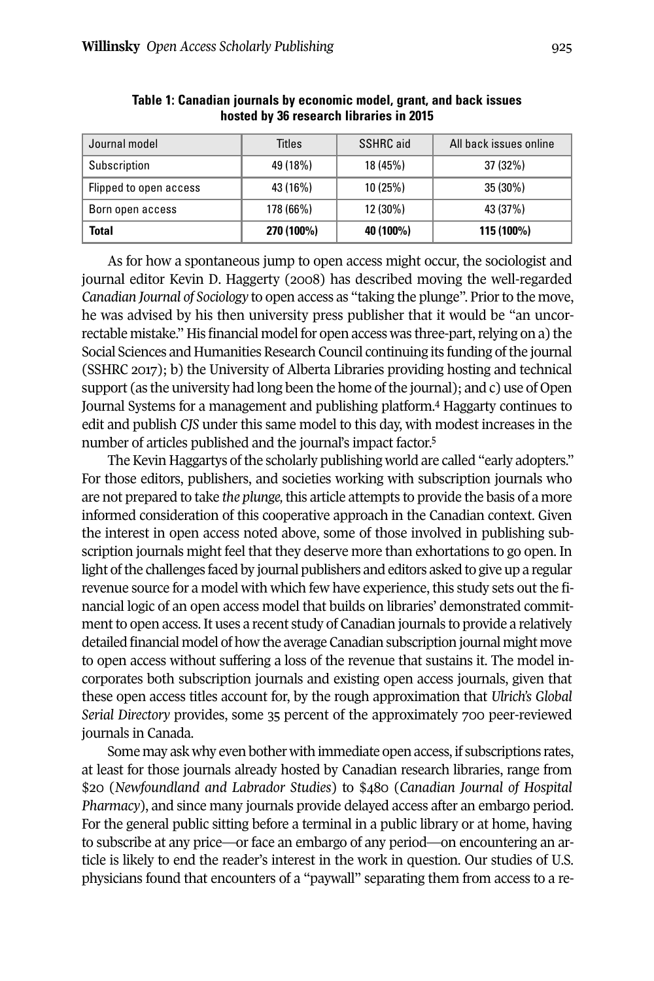| Journal model          | Titles     | SSHRC aid | All back issues online |  |
|------------------------|------------|-----------|------------------------|--|
| Subscription           | 49 (18%)   | 18 (45%)  | 37 (32%)               |  |
| Flipped to open access | 43 (16%)   | 10(25%)   | 35 (30%)               |  |
| Born open access       | 178 (66%)  | 12 (30%)  | 43 (37%)               |  |
| Total                  | 270 (100%) | 40 (100%) | 115 (100%)             |  |

**Table 1: Canadian journals by economic model, grant, and back issues hosted by 36 research libraries in 2015**

As for how a spontaneous jump to open access might occur, the sociologist and journal editor Kevin D. Haggerty (2008) has described moving the well-regarded *Canadian Journal of Sociology* to open access as "taking the plunge". Prior to the move, he was advised by his then university press publisher that it would be "an uncorrectable mistake." His financial model for open access was three-part, relying on a) the Social Sciences and Humanities Research Council continuing its funding of the journal (SSHRC 2017); b) the University of Alberta Libraries providing hosting and technical support (as the university had long been the home of the journal); and c) use of Open Journal Systems for a management and publishing platform. [4](#page-10-3) Haggarty continues to edit and publish *CJS* under this same model to this day, with modest increases in the number of articles published and the journal's impact factor. [5](#page-10-4)

The Kevin Haggartys of the scholarly publishing world are called "early adopters." For those editors, publishers, and societies working with subscription journals who are not prepared to take *the plunge,* this article attempts to provide the basis of a more informed consideration of this cooperative approach in the Canadian context. Given the interest in open access noted above, some of those involved in publishing subscription journals might feel that they deserve more than exhortations to go open. In light of the challenges faced by journal publishers and editors asked to give up a regular revenue source for a model with which few have experience, this study sets out the financial logic of an open access model that builds on libraries' demonstrated commitment to open access. It uses a recent study of Canadian journals to provide a relatively detailed financial model of how the average Canadian subscription journal might move to open access without suffering a loss of the revenue that sustains it. The model incorporates both subscription journals and existing open access journals, given that these open access titles account for, by the rough approximation that *Ulrich's Global Serial Directory* provides, some 35 percent of the approximately 700 peer-reviewed journals in Canada.

Some may ask why even bother with immediate open access, if subscriptions rates, at least for those journals already hosted by Canadian research libraries, range from \$20 (*Newfoundland and Labrador Studies*) to \$480 (*Canadian Journal of Hospital Pharmacy*), and since many journals provide delayed access after an embargo period. For the general public sitting before a terminal in a public library or at home, having to subscribe at any price—or face an embargo of any period—on encountering an article is likely to end the reader's interest in the work in question. Our studies of U.S. physicians found that encounters of a "paywall" separating them from access to a re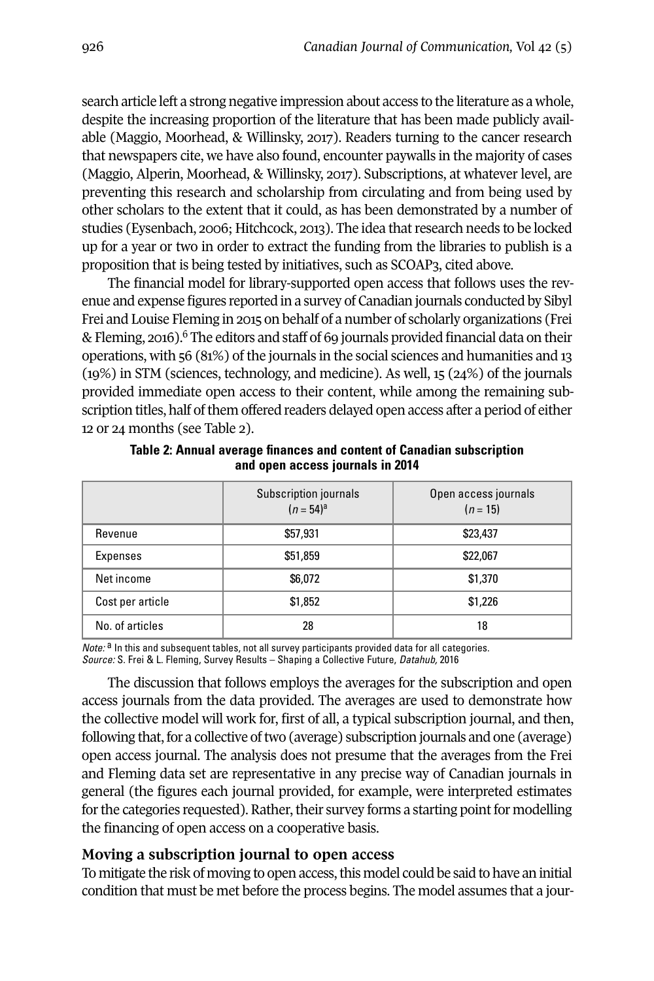search article left a strong negative impression about access to the literature as a whole, despite the increasing proportion of the literature that has been made publicly available (Maggio, Moorhead, & Willinsky, 2017). Readers turning to the cancer research that newspapers cite, we have also found, encounter paywalls in the majority of cases (Maggio, Alperin, Moorhead, & Willinsky, 2017). Subscriptions, at whatever level, are preventing this research and scholarship from circulating and from being used by other scholars to the extent that it could, as has been demonstrated by a number of studies (Eysenbach, 2006; Hitchcock, 2013). The idea thatresearch needs to be locked up for a year or two in order to extract the funding from the libraries to publish is a proposition that is being tested by initiatives, such as SCOAP3, cited above.

The financial model for library-supported open access that follows uses the revenue and expense figures reported in a survey of Canadian journals conducted by Sibyl Frei and Louise Fleming in 2015 on behalf of a number of scholarly organizations (Frei & Fleming, 2016). <sup>6</sup> The editors and staff of 69 journals provided financial data on their operations, with 56 (81%) of the journals in the social sciences and humanities and 13 (19%) in STM (sciences, technology, and medicine). As well, 15 (24%) of the journals provided immediate open access to their content, while among the remaining subscription titles, half of them offered readers delayed open access after a period of either 12 or 24 months (see Table 2).

|                  | Subscription journals<br>$(n = 54)^a$ | Open access journals<br>$(n = 15)$ |
|------------------|---------------------------------------|------------------------------------|
| Revenue          | \$57,931                              | \$23,437                           |
| Expenses         | \$51,859                              | \$22,067                           |
| Net income       | \$6.072                               | \$1,370                            |
| Cost per article | \$1,852                               | \$1,226                            |
| No. of articles  | 28                                    | 18                                 |

**Table 2: Annual average finances and content of Canadian subscription and open access journals in 2014**

*Note:* <sup>a</sup> In this and subsequent tables, not all survey participants provided data for all categories. *Source:* S. Frei & L. Fleming, Survey Results – Shaping a Collective Future, *Datahub,* 2016

The discussion that follows employs the averages for the subscription and open access journals from the data provided. The averages are used to demonstrate how the collective model will work for, first of all, a typical subscription journal, and then, following that, for a collective of two (average) subscription journals and one (average) open access journal. The analysis does not presume that the averages from the Frei and Fleming data set are representative in any precise way of Canadian journals in general (the figures each journal provided, for example, were interpreted estimates for the categories requested). Rather, their survey forms a starting point for modelling the financing of open access on a cooperative basis.

#### **Moving a subscription journal to open access**

To mitigate the risk of moving to open access, this model could be said to have an initial condition that must be met before the process begins. The model assumes that a jour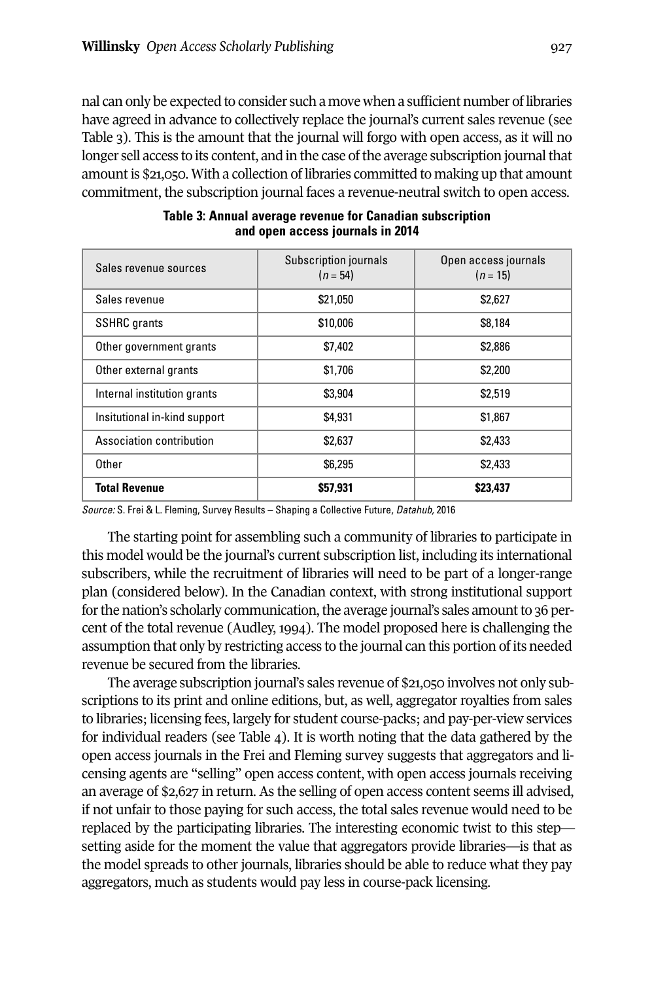nal can only be expected to consider such a move when a sufficient number of libraries have agreed in advance to collectively replace the journal's current sales revenue (see Table 3). This is the amount that the journal will forgo with open access, as it will no longer sell access to its content, and in the case of the average subscription journal that amountis \$21,050. With a collection of libraries committed to making up that amount commitment, the subscription journal faces a revenue-neutral switch to open access.

| Sales revenue sources        | Subscription journals<br>$(n = 54)$ | Open access journals<br>$(n = 15)$ |
|------------------------------|-------------------------------------|------------------------------------|
| Sales revenue                | \$21,050                            | \$2,627                            |
| <b>SSHRC</b> grants          | \$10,006                            | \$8,184                            |
| Other government grants      | \$7,402                             | \$2,886                            |
| Other external grants        | \$1,706                             | \$2,200                            |
| Internal institution grants  | \$3,904                             | \$2,519                            |
| Insitutional in-kind support | \$4,931                             | \$1,867                            |
| Association contribution     | \$2,637                             | \$2,433                            |
| Other                        | \$6,295                             | \$2,433                            |
| <b>Total Revenue</b>         | \$57,931                            | \$23.437                           |

| Table 3: Annual average revenue for Canadian subscription |  |  |  |  |
|-----------------------------------------------------------|--|--|--|--|
| and open access journals in 2014                          |  |  |  |  |

*Source:* S. Frei & L. Fleming, Survey Results – Shaping a Collective Future, *Datahub,* 2016

The starting point for assembling such a community of libraries to participate in this model would be the journal's current subscription list, including its international subscribers, while the recruitment of libraries will need to be part of a longer-range plan (considered below). In the Canadian context, with strong institutional support for the nation's scholarly communication, the average journal's sales amount to 36 percent of the total revenue (Audley, 1994). The model proposed here is challenging the assumption that only by restricting access to the journal can this portion of its needed revenue be secured from the libraries.

The average subscription journal's sales revenue of \$21,050 involves not only subscriptions to its print and online editions, but, as well, aggregator royalties from sales to libraries; licensing fees, largely for student course-packs; and pay-per-view services for individual readers (see Table 4). It is worth noting that the data gathered by the open access journals in the Frei and Fleming survey suggests that aggregators and licensing agents are "selling" open access content, with open access journals receiving an average of \$2,627 in return. As the selling of open access content seems ill advised, if not unfair to those paying for such access, the total sales revenue would need to be replaced by the participating libraries. The interesting economic twist to this step setting aside for the moment the value that aggregators provide libraries—is that as the model spreads to other journals, libraries should be able to reduce what they pay aggregators, much as students would pay less in course-pack licensing.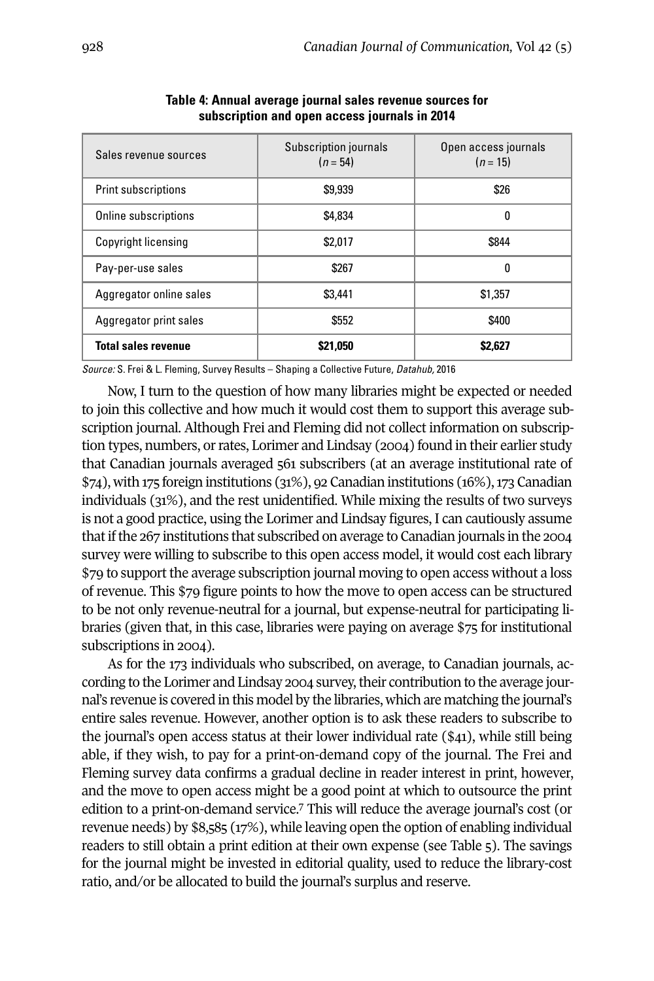| Sales revenue sources      | Subscription journals<br>$(n = 54)$ | Open access journals<br>$(n = 15)$ |
|----------------------------|-------------------------------------|------------------------------------|
| <b>Print subscriptions</b> | \$9,939                             | \$26                               |
| Online subscriptions       | \$4,834                             | 0                                  |
| <b>Copyright licensing</b> | \$2.017                             | \$844                              |
| Pay-per-use sales          | \$267                               | 0                                  |
| Aggregator online sales    | \$3,441                             | \$1,357                            |
| Aggregator print sales     | \$552                               | \$400                              |
| <b>Total sales revenue</b> | \$21,050                            | \$2,627                            |

**Table 4: Annual average journal sales revenue sources for subscription and open access journals in 2014**

*Source:* S. Frei & L. Fleming, Survey Results – Shaping a Collective Future, *Datahub,* 2016

Now, I turn to the question of how many libraries might be expected or needed to join this collective and how much it would cost them to support this average subscription journal. Although Frei and Fleming did not collect information on subscription types, numbers, orrates, Lorimer and Lindsay (2004) found in their earlier study that Canadian journals averaged 561 subscribers (at an average institutional rate of  $$74$ ), with 175 foreign institutions  $(31\%)$ , 92 Canadian institutions  $(16\%)$ , 173 Canadian individuals (31%), and the rest unidentified. While mixing the results of two surveys is not a good practice, using the Lorimer and Lindsay figures, I can cautiously assume thatifthe 267 institutions that subscribed on average to Canadian journals in the 2004 survey were willing to subscribe to this open access model, it would cost each library \$79 to support the average subscription journal moving to open access without a loss of revenue. This \$79 figure points to how the move to open access can be structured to be not only revenue-neutral for a journal, but expense-neutral for participating libraries (given that, in this case, libraries were paying on average \$75 for institutional subscriptions in 2004).

As for the 173 individuals who subscribed, on average, to Canadian journals, according to the Lorimer and Lindsay 2004 survey, their contribution to the average journal's revenue is covered in this model by the libraries, which are matching the journal's entire sales revenue. However, another option is to ask these readers to subscribe to the journal's open access status at their lower individual rate (\$41), while still being able, if they wish, to pay for a print-on-demand copy of the journal. The Frei and Fleming survey data confirms a gradual decline in reader interest in print, however, and the move to open access might be a good point at which to outsource the print edition to a print-on-demand service. [7](#page-10-5) This will reduce the average journal's cost (or revenue needs) by \$8,585 (17%), while leaving open the option of enabling individual readers to still obtain a print edition at their own expense (see Table 5). The savings for the journal might be invested in editorial quality, used to reduce the library-cost ratio, and/or be allocated to build the journal's surplus and reserve.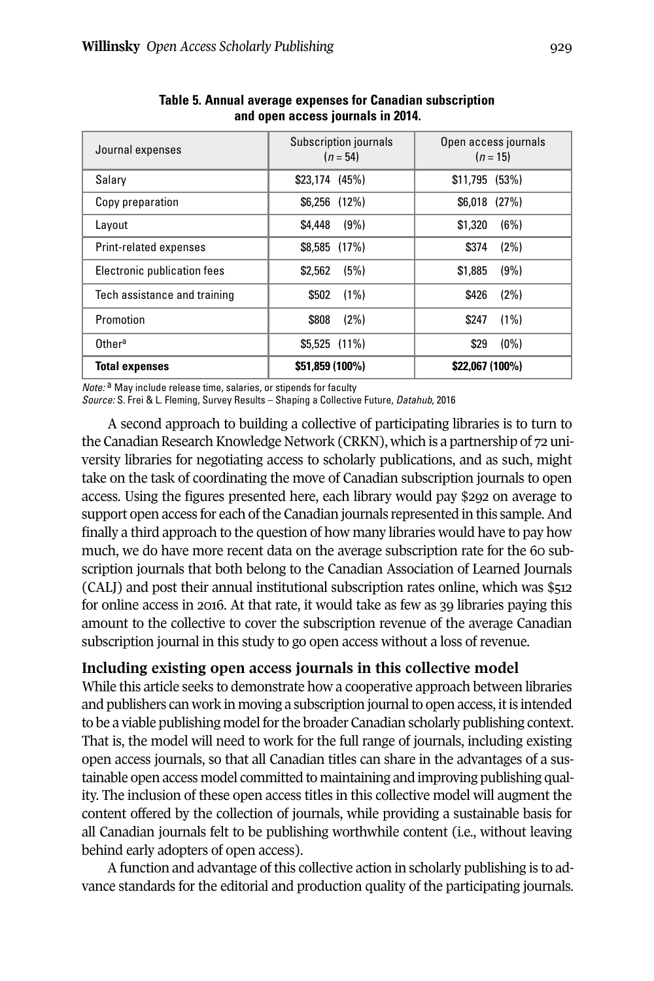| Journal expenses             | Subscription journals<br>$(n = 54)$ | Open access journals<br>$(n = 15)$ |  |
|------------------------------|-------------------------------------|------------------------------------|--|
| Salary                       | $$23,174$ (45%)                     | $$11,795$ (53%)                    |  |
| Copy preparation             | $$6,256$ $(12\%)$                   | $$6,018$ $(27%)$                   |  |
| Layout                       | (9%)<br>\$4,448                     | \$1,320<br>(6%)                    |  |
| Print-related expenses       | $$8,585$ (17%)                      | \$374<br>(2%)                      |  |
| Electronic publication fees  | (5%)<br>\$2,562                     | \$1,885<br>(9%)                    |  |
| Tech assistance and training | \$502<br>(1%)                       | (2%)<br>\$426                      |  |
| Promotion                    | (2%)<br>\$808                       | (1%)<br>\$247                      |  |
| Other <sup>a</sup>           | $$5.525$ (11%)                      | (0%)<br>\$29                       |  |
| <b>Total expenses</b>        | \$51,859 (100%)                     | \$22,067 (100%)                    |  |

**Table 5. Annual average expenses for Canadian subscription and open access journals in 2014.**

*Note:* a May include release time, salaries, or stipends for faculty

*Source:* S. Frei & L. Fleming, Survey Results – Shaping a Collective Future, *Datahub*, 2016

A second approach to building a collective of participating libraries is to turn to the Canadian Research Knowledge Network (CRKN), which is a partnership of 72 university libraries for negotiating access to scholarly publications, and as such, might take on the task of coordinating the move of Canadian subscription journals to open access. Using the figures presented here, each library would pay \$292 on average to support open access for each of the Canadian journals represented in this sample. And finally a third approach to the question of how many libraries would have to pay how much, we do have more recent data on the average subscription rate for the 60 subscription journals that both belong to the Canadian Association of Learned Journals (CALJ) and post their annual institutional subscription rates online, which was \$512 for online access in 2016. At that rate, it would take as few as 39 libraries paying this amount to the collective to cover the subscription revenue of the average Canadian subscription journal in this study to go open access without a loss of revenue.

### **Including existing open access journals in this collective model**

While this article seeks to demonstrate how a cooperative approach between libraries and publishers can work in moving a subscription journal to open access, it is intended to be a viable publishing model forthe broader Canadian scholarly publishing context. That is, the model will need to work for the full range of journals, including existing open access journals, so that all Canadian titles can share in the advantages of a sustainable open access model committed to maintaining and improving publishing quality. The inclusion of these open access titles in this collective model will augment the content offered by the collection of journals, while providing a sustainable basis for all Canadian journals felt to be publishing worthwhile content (i.e., without leaving behind early adopters of open access).

A function and advantage of this collective action in scholarly publishing is to advance standards for the editorial and production quality of the participating journals.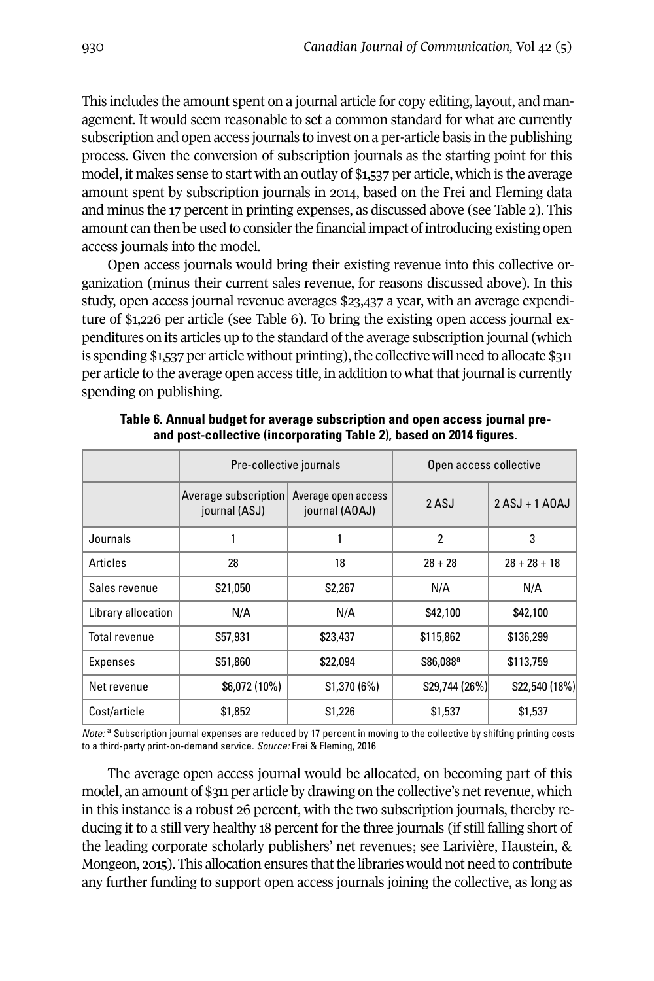This includes the amount spent on a journal article for copy editing, layout, and management. It would seem reasonable to set a common standard for what are currently subscription and open access journals to invest on a per-article basis in the publishing process. Given the conversion of subscription journals as the starting point for this model, it makes sense to start with an outlay of \$1,537 per article, which is the average amount spent by subscription journals in 2014, based on the Frei and Fleming data and minus the 17 percent in printing expenses, as discussed above (see Table 2). This amount can then be used to consider the financial impact of introducing existing open access journals into the model.

Open access journals would bring their existing revenue into this collective organization (minus their current sales revenue, for reasons discussed above). In this study, open access journal revenue averages \$23,437 a year, with an average expenditure of \$1,226 per article (see Table 6). To bring the existing open access journal expenditures on its articles up to the standard of the average subscription journal (which is spending  $$1,537$  per article without printing), the collective will need to allocate  $$311$ per article to the average open access title, in addition to what that journal is currently spending on publishing.

|                    | Pre-collective journals               |                                       | Open access collective |                  |
|--------------------|---------------------------------------|---------------------------------------|------------------------|------------------|
|                    | Average subscription<br>journal (ASJ) | Average open access<br>journal (AOAJ) | 2 ASJ                  | $2 ASJ + 1 A0AJ$ |
| Journals           |                                       |                                       | $\overline{2}$         | 3                |
| Articles           | 28                                    | 18                                    | $28 + 28$              | $28 + 28 + 18$   |
| Sales revenue      | \$21,050                              | \$2,267                               | N/A                    | N/A              |
| Library allocation | N/A                                   | N/A                                   | \$42,100               | \$42,100         |
| Total revenue      | \$57,931                              | \$23,437                              | \$115,862              | \$136,299        |
| Expenses           | \$51,860                              | \$22,094                              | \$86,088ª              | \$113,759        |
| Net revenue        | \$6,072 (10%)                         | \$1,370(6%)                           | \$29,744 (26%)         | \$22,540 (18%)   |
| Cost/article       | \$1,852                               | \$1,226                               | \$1,537                | \$1,537          |

**Table 6. Annual budget for average subscription and open access journal preand post-collective (incorporating Table 2), based on 2014 figures.**

*Note:* <sup>a</sup> Subscription journal expenses are reduced by 17 percent in moving to the collective by shifting printing costs to a third-party print-on-demand service. *Source:* Frei & Fleming, 2016

The average open access journal would be allocated, on becoming part of this model, an amount of \$311 per article by drawing on the collective's netrevenue, which in this instance is a robust 26 percent, with the two subscription journals, thereby reducing it to a still very healthy 18 percent for the three journals (if still falling short of the leading corporate scholarly publishers' net revenues; see Larivière, Haustein, & Mongeon, 2015). This allocation ensures that the libraries would not need to contribute any further funding to support open access journals joining the collective, as long as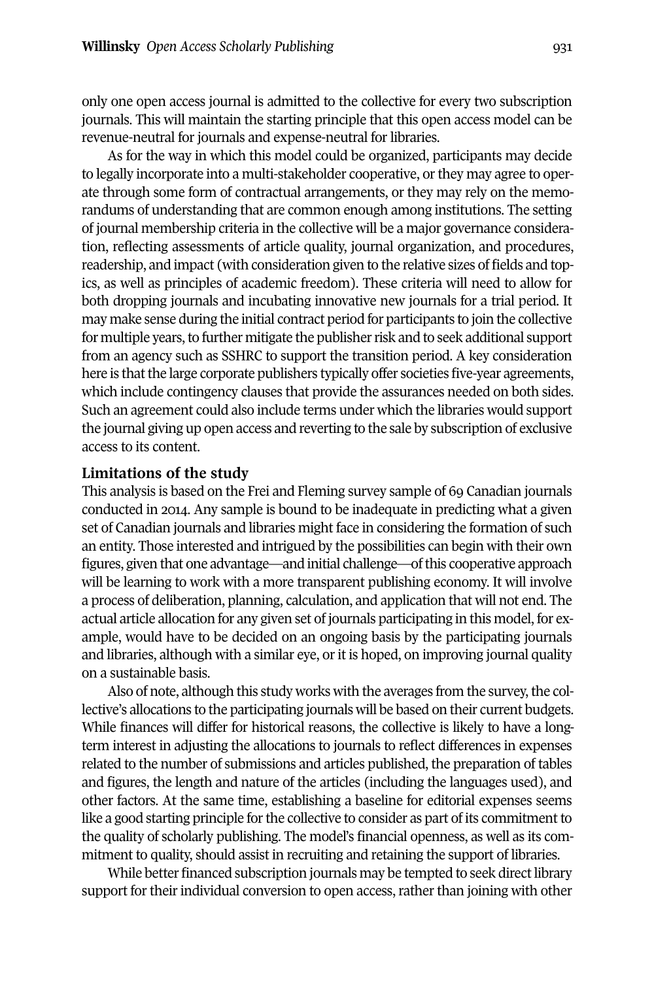only one open access journal is admitted to the collective for every two subscription journals. This will maintain the starting principle that this open access model can be revenue-neutral for journals and expense-neutral for libraries.

As for the way in which this model could be organized, participants may decide to legally incorporate into a multi-stakeholder cooperative, orthey may agree to operate through some form of contractual arrangements, or they may rely on the memorandums of understanding that are common enough among institutions. The setting of journal membership criteria in the collective will be a major governance consideration, reflecting assessments of article quality, journal organization, and procedures, readership, and impact (with consideration given to the relative sizes of fields and topics, as well as principles of academic freedom). These criteria will need to allow for both dropping journals and incubating innovative new journals for a trial period. It may make sense during the initial contract period for participants to join the collective for multiple years, to further mitigate the publisher risk and to seek additional support from an agency such as SSHRC to support the transition period. A key consideration here is that the large corporate publishers typically offer societies five-year agreements, which include contingency clauses that provide the assurances needed on both sides. Such an agreement could also include terms under which the libraries would support the journal giving up open access and reverting to the sale by subscription of exclusive access to its content.

#### **Limitations of the study**

This analysis is based on the Frei and Fleming survey sample of 69 Canadian journals conducted in 2014. Any sample is bound to be inadequate in predicting what a given set of Canadian journals and libraries might face in considering the formation of such an entity. Those interested and intrigued by the possibilities can begin with their own figures, given that one advantage—and initial challenge—of this cooperative approach will be learning to work with a more transparent publishing economy. It will involve a process of deliberation, planning, calculation, and application that will not end. The actual article allocation for any given set of journals participating in this model, for example, would have to be decided on an ongoing basis by the participating journals and libraries, although with a similar eye, or it is hoped, on improving journal quality on a sustainable basis.

Also of note, although this study works with the averages from the survey,the collective's allocations to the participating journals will be based on their current budgets. While finances will differ for historical reasons, the collective is likely to have a longterm interest in adjusting the allocations to journals to reflect differences in expenses related to the number of submissions and articles published, the preparation of tables and figures, the length and nature of the articles (including the languages used), and other factors. At the same time, establishing a baseline for editorial expenses seems like a good starting principle for the collective to consider as part of its commitment to the quality of scholarly publishing. The model's financial openness, as well as its commitment to quality, should assist in recruiting and retaining the support of libraries.

While better financed subscription journals may be tempted to seek direct library support for their individual conversion to open access, rather than joining with other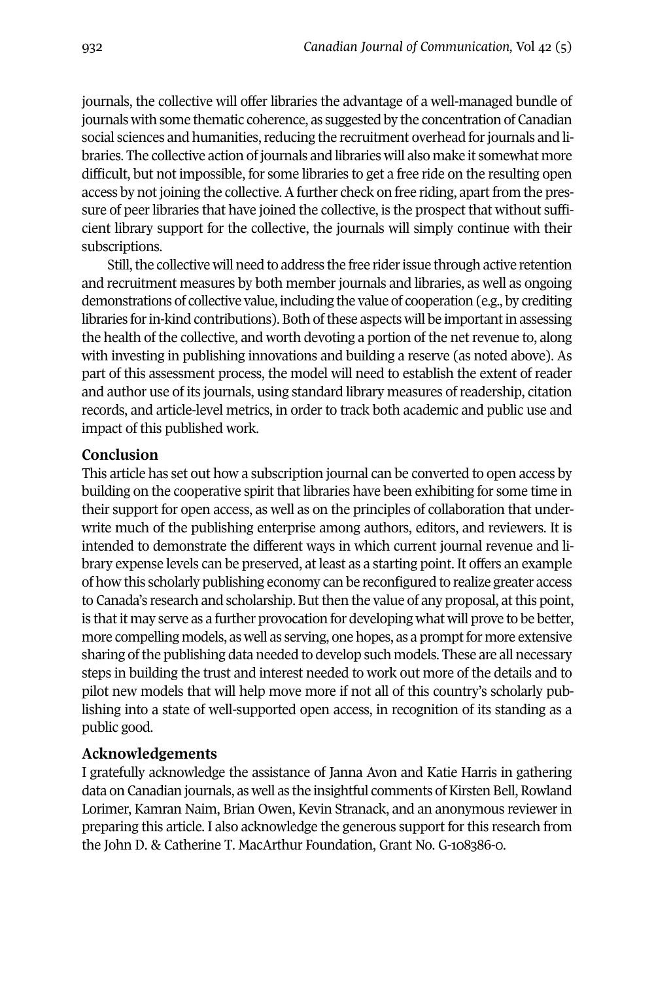journals, the collective will offer libraries the advantage of a well-managed bundle of journals with some thematic coherence, as suggested by the concentration of Canadian social sciences and humanities, reducing the recruitment overhead for journals and libraries. The collective action of journals and libraries will also make it somewhat more difficult, but not impossible, for some libraries to get a free ride on the resulting open access by not joining the collective. A further check on free riding, apart from the pressure of peer libraries that have joined the collective, is the prospect that without sufficient library support for the collective, the journals will simply continue with their subscriptions.

Still, the collective will need to address the free rider issue through active retention and recruitment measures by both member journals and libraries, as well as ongoing demonstrations of collective value, including the value of cooperation (e.g., by crediting libraries for in-kind contributions). Both of these aspects will be important in assessing the health of the collective, and worth devoting a portion of the netrevenue to, along with investing in publishing innovations and building a reserve (as noted above). As part of this assessment process, the model will need to establish the extent of reader and author use of its journals, using standard library measures of readership, citation records, and article-level metrics, in order to track both academic and public use and impact of this published work.

#### **Conclusion**

This article has set out how a subscription journal can be converted to open access by building on the cooperative spirit that libraries have been exhibiting for some time in their support for open access, as well as on the principles of collaboration that underwrite much of the publishing enterprise among authors, editors, and reviewers. It is intended to demonstrate the different ways in which current journal revenue and library expense levels can be preserved, at least as a starting point. It offers an example of how this scholarly publishing economy can be reconfigured to realize greater access to Canada's research and scholarship. Butthen the value of any proposal, atthis point, is that it may serve as a further provocation for developing what will prove to be better, more compelling models, as well as serving, one hopes, as a prompt for more extensive sharing ofthe publishing data needed to develop such models. These are all necessary steps in building the trust and interest needed to work out more of the details and to pilot new models that will help move more if not all of this country's scholarly publishing into a state of well-supported open access, in recognition of its standing as a public good.

#### **Acknowledgements**

I gratefully acknowledge the assistance of Janna Avon and Katie Harris in gathering data on Canadian journals, as well as the insightful comments of Kirsten Bell, Rowland Lorimer, Kamran Naim, Brian Owen, Kevin Stranack, and an anonymous reviewer in preparing this article. I also acknowledge the generous support for this research from the John D. & Catherine T. MacArthur Foundation, Grant No. G-108386-0.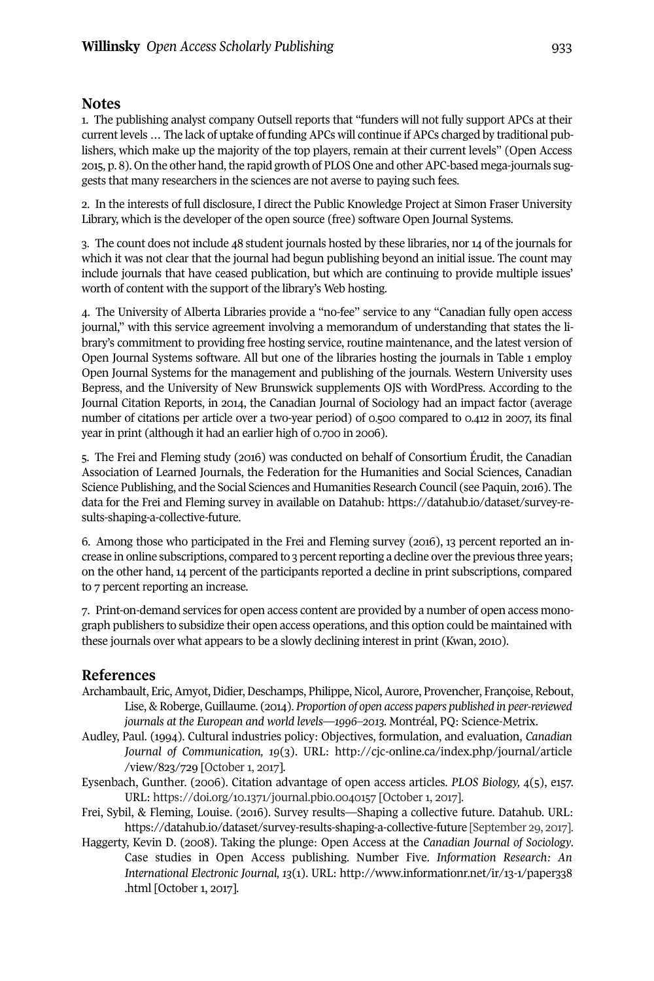#### <span id="page-10-0"></span>**Notes**

1. The publishing analyst company Outsell reports that "funders will not fully support APCs at their current levels … The lack of uptake of funding APCs will continue if APCs charged by traditional publishers, which make up the majority of the top players, remain at their current levels" (Open Access 2015, p. 8). On the other hand, the rapid growth of PLOS One and other APC-based mega-journals suggests that many researchers in the sciences are not averse to paying such fees.

<span id="page-10-1"></span>2. In the interests of full disclosure, I direct the Public Knowledge Project at Simon Fraser University Library, which is the developer of the open source (free) software Open Journal Systems.

<span id="page-10-2"></span>3. The count does not include 48 student journals hosted by these libraries, nor 14 of the journals for which it was not clear that the journal had begun publishing beyond an initial issue. The count may include journals that have ceased publication, but which are continuing to provide multiple issues' worth of content with the support of the library's Web hosting.

<span id="page-10-3"></span>4. The University of Alberta Libraries provide a "no-fee" service to any "Canadian fully open access journal," with this service agreement involving a memorandum of understanding that states the library's commitment to providing free hosting service, routine maintenance, and the latest version of Open Journal Systems software. All but one of the libraries hosting the journals in Table 1 employ Open Journal Systems for the management and publishing of the journals. Western University uses Bepress, and the University of New Brunswick supplements OJS with WordPress. According to the Journal Citation Reports, in 2014, the Canadian Journal of Sociology had an impact factor (average number of citations per article over a two-year period) of 0.500 compared to 0.412 in 2007, its final year in print (although it had an earlier high of 0.700 in 2006).

<span id="page-10-4"></span>5. The Frei and Fleming study (2016) was conducted on behalf of Consortium Érudit, the Canadian Association of Learned Journals, the Federation for the Humanities and Social Sciences, Canadian Science Publishing, and the Social Sciences and Humanities Research Council (see Paquin, 2016). The data for the Frei and Fleming survey in available on Datahub: [https://datahub.io/dataset/survey-re](https://datahub.io/dataset/survey-results-shaping-a-collective-future)[sults-shaping-a-collective-future.](https://datahub.io/dataset/survey-results-shaping-a-collective-future)

6. Among those who participated in the Frei and Fleming survey (2016), 13 percent reported an increase in online subscriptions, compared to 3 percentreporting a decline overthe previous three years; on the other hand, 14 percent of the participants reported a decline in print subscriptions, compared to 7 percent reporting an increase.

<span id="page-10-5"></span>7. Print-on-demand services for open access content are provided by a number of open access monograph publishers to subsidize their open access operations, and this option could be maintained with these journals over what appears to be a slowly declining interest in print (Kwan, 2010).

#### **References**

- Archambault, Eric,Amyot,Didier,Deschamps, Philippe, Nicol,Aurore, Provencher, Françoise, Rebout, Lise, & Roberge, Guillaume. (2014). *Proportion of open access papers published in peer-reviewed journals at the European and world levels—1996–2013.* Montréal, PQ: Science-Metrix.
- Audley, Paul. (1994). Cultural industries policy: Objectives, formulation, and evaluation, *Canadian Journal of Communication, 19*(3). URL: [http://cjc-online.ca/index.php/journal/article](http://cjc-online.ca/index.php/journal/article/view/823/729) [/view/823/729](http://cjc-online.ca/index.php/journal/article/view/823/729) [October 1, 2017].
- Eysenbach, Gunther. (2006). Citation advantage of open access articles. *PLOS Biology,* 4(5), e157. URL: <https://doi.org/10.1371/journal.pbio.0040157> [October 1, 2017].
- Frei, Sybil, & Fleming, Louise. (2016). Survey results—Shaping a collective future. Datahub. URL: <https://datahub.io/dataset/survey-results-shaping-a-collective-future> [September 29, 2017].
- Haggerty, Kevin D. (2008). Taking the plunge: Open Access at the *Canadian Journal of Sociology*. Case studies in Open Access publishing. Number Five. *Information Research: An International Electronic Journal, 13*(1). URL: [http://www.informationr.net/ir/13-1/paper338](http://www.informationr.net/ir/13-1/paper338.html) [.html](http://www.informationr.net/ir/13-1/paper338.html) [October 1, 2017].